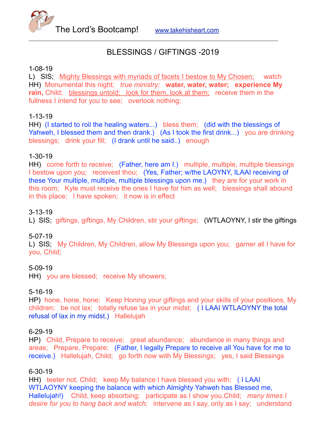

# BLESSINGS / GIFTINGS -2019

### 1-08-19

L) SIS; Mighty Blessings with myriads of facets I bestow to My Chosen; watch HH) Monumental this night; *true ministry;* **water, water, water; experience My rain,** Child; blessings untold; look for them, look at them; receive them in the fullness I intend for you to see; overlook nothing;

# 1-13-19

HH) (I started to roil the healing waters...) bless them; (did with the blessings of Yahweh, I blessed them and then drank.) (As I took the first drink...) you are drinking blessings; drink your fill; (I drank until he said..) enough

# 1-30-19

HH) come forth to receive; (Father, here am I.) multiple, multiple, multiple blessings I bestow upon you; receivest thou; (Yes, Father; w/the LAOYNY, ILAAI receiving of these Your multiple, multiple, multiple blessings upon me.) they are for your work in this room; Kyle must receive the ones I have for him as well; blessings shall abound in this place; I have spoken; it now is in effect

# 3-13-19

L) SIS; giftings, giftings, My Children, stir your giftings; (WTLAOYNY, I stir the giftings

#### 5-07-19

L) SIS; My Children, My Children, allow My Blessings upon you; garner all I have for you, Child;

#### 5-09-19

HH) you are blessed; receive My showers;

# 5-16-19

HP) hone, hone, hone; Keep Honing your giftings and your skills of your positions, My children; be not lax; totally refuse lax in your midst; ( I LAAI WTLAOYNY the total refusal of lax in my midst.) Hallelujah

#### 6-29-19

HP) Child, Prepare to receive; great abundance; abundance in many things and areas; Prepare, Prepare; (Father, I legally Prepare to receive all You have for me to receive.) Hallelujah, Child; go forth now with My Blessings; yes, I said Blessings

# 6-30-19

HH) teeter not, Child; keep My balance I have blessed you with; ( I LAAI WTLAOYNY keeping the balance with which Almighty Yahweh has Blessed me, Hallelujah!) Child, keep absorbing; participate as I show you,Child; *many times I desire for you to hang back and watch;* intervene as I say, only as I say; understand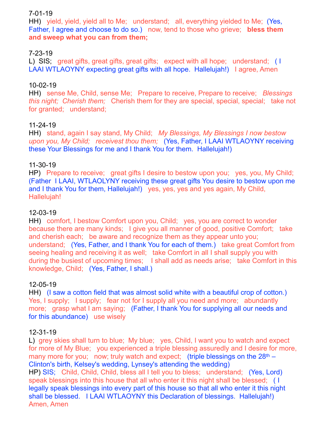## 7-01-19

HH) yield, yield, yield all to Me; understand; all, everything yielded to Me; (Yes, Father, I agree and choose to do so.) now, tend to those who grieve; **bless them and sweep what you can from them;** 

# 7-23-19

L) SIS; great gifts, great gifts, great gifts; expect with all hope; understand; ( I LAAI WTLAOYNY expecting great gifts with all hope. Hallelujah!) I agree, Amen

# 10-02-19

HH) sense Me, Child, sense Me; Prepare to receive, Prepare to receive; *Blessings this night; Cherish them;* Cherish them for they are special, special, special; take not for granted; understand;

## 11-24-19

HH) stand, again I say stand, My Child; *My Blessings, My Blessings I now bestow upon you, My Child; receivest thou them;* (Yes, Father, I LAAI WTLAOYNY receiving these Your Blessings for me and I thank You for them. Hallelujah!)

## 11-30-19

HP) Prepare to receive; great gifts I desire to bestow upon you; yes, you, My Child; (Father I LAAI, WTLAOLYNY receiving these great gifts You desire to bestow upon me and I thank You for them, Hallelujah!) yes, yes, yes and yes again, My Child, Hallelujah!

### 12-03-19

HH) comfort, I bestow Comfort upon you, Child; yes, you are correct to wonder because there are many kinds; I give you all manner of good, positive Comfort; take and cherish each; be aware and recognize them as they appear unto you; understand; (Yes, Father, and I thank You for each of them.) take great Comfort from seeing healing and receiving it as well; take Comfort in all I shall supply you with during the busiest of upcoming times; I shall add as needs arise; take Comfort in this knowledge, Child; (Yes, Father, I shall.)

#### 12-05-19

HH) (I saw a cotton field that was almost solid white with a beautiful crop of cotton.) Yes, I supply; I supply; fear not for I supply all you need and more; abundantly more; grasp what I am saying; (Father, I thank You for supplying all our needs and for this abundance) use wisely

#### 12-31-19

L) grey skies shall turn to blue; My blue; yes, Child, I want you to watch and expect for more of My Blue; you experienced a triple blessing assuredly and I desire for more, many more for you; now; truly watch and expect; (triple blessings on the  $28<sup>th</sup>$  – Clinton's birth, Kelsey's wedding, Lynsey's attending the wedding) HP) SIS; Child, Child, Child, bless all I tell you to bless; understand; (Yes, Lord) speak blessings into this house that all who enter it this night shall be blessed; ( I legally speak blessings into every part of this house so that all who enter it this night shall be blessed. I LAAI WTLAOYNY this Declaration of blessings. Hallelujah!) Amen, Amen